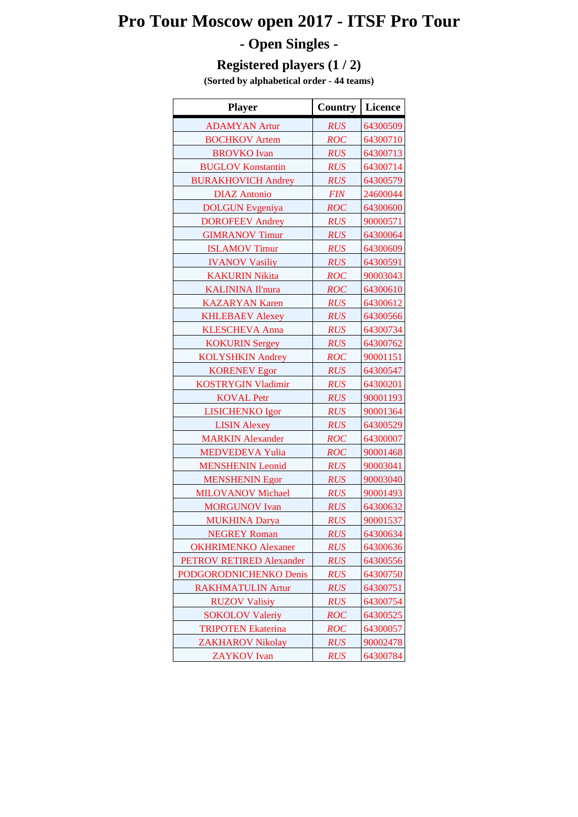## **Pro Tour Moscow open 2017 - ITSF Pro Tour - Open Singles -**

## **Registered players (1 / 2)**

**(Sorted by alphabetical order - 44 teams)**

| <b>Player</b>              | Country    | <b>Licence</b> |
|----------------------------|------------|----------------|
| <b>ADAMYAN Artur</b>       | <b>RUS</b> | 64300509       |
| <b>BOCHKOV</b> Artem       | <b>ROC</b> | 64300710       |
| <b>BROVKO</b> Ivan         | <b>RUS</b> | 64300713       |
| <b>BUGLOV Konstantin</b>   | <b>RUS</b> | 64300714       |
| <b>BURAKHOVICH Andrey</b>  | <b>RUS</b> | 64300579       |
| <b>DIAZ</b> Antonio        | <b>FIN</b> | 24600044       |
| <b>DOLGUN</b> Evgeniya     | <b>ROC</b> | 64300600       |
| <b>DOROFEEV Andrey</b>     | <b>RUS</b> | 90000571       |
| <b>GIMRANOV Timur</b>      | <b>RUS</b> | 64300064       |
| <b>ISLAMOV Timur</b>       | <b>RUS</b> | 64300609       |
| <b>IVANOV Vasiliy</b>      | <b>RUS</b> | 64300591       |
| <b>KAKURIN Nikita</b>      | <b>ROC</b> | 90003043       |
| <b>KALININA Il'nura</b>    | <b>ROC</b> | 64300610       |
| <b>KAZARYAN Karen</b>      | <b>RUS</b> | 64300612       |
| <b>KHLEBAEV Alexey</b>     | <b>RUS</b> | 64300566       |
| <b>KLESCHEVA Anna</b>      | <b>RUS</b> | 64300734       |
| <b>KOKURIN Sergey</b>      | <b>RUS</b> | 64300762       |
| <b>KOLYSHKIN Andrey</b>    | <b>ROC</b> | 90001151       |
| <b>KORENEV Egor</b>        | <b>RUS</b> | 64300547       |
| <b>KOSTRYGIN Vladimir</b>  | <b>RUS</b> | 64300201       |
| <b>KOVAL Petr</b>          | <b>RUS</b> | 90001193       |
| <b>LISICHENKO Igor</b>     | <b>RUS</b> | 90001364       |
| <b>LISIN Alexey</b>        | <b>RUS</b> | 64300529       |
| <b>MARKIN</b> Alexander    | <b>ROC</b> | 64300007       |
| <b>MEDVEDEVA Yulia</b>     | <b>ROC</b> | 90001468       |
| <b>MENSHENIN Leonid</b>    | <b>RUS</b> | 90003041       |
| <b>MENSHENIN Egor</b>      | <b>RUS</b> | 90003040       |
| <b>MILOVANOV Michael</b>   | <b>RUS</b> | 90001493       |
| <b>MORGUNOV</b> Ivan       | <b>RUS</b> | 64300632       |
| <b>MUKHINA Darya</b>       | <b>RUS</b> | 90001537       |
| <b>NEGREY Roman</b>        | <b>RUS</b> | 64300634       |
| <b>OKHRIMENKO</b> Alexaner | <b>RUS</b> | 64300636       |
| PETROV RETIRED Alexander   | <b>RUS</b> | 64300556       |
| PODGORODNICHENKO Denis     | <b>RUS</b> | 64300750       |
| <b>RAKHMATULIN Artur</b>   | <b>RUS</b> | 64300751       |
| <b>RUZOV Valisiy</b>       | <b>RUS</b> | 64300754       |
| <b>SOKOLOV Valeriy</b>     | <b>ROC</b> | 64300525       |
| <b>TRIPOTEN Ekaterina</b>  | ROC        | 64300057       |
| <b>ZAKHAROV Nikolay</b>    | <b>RUS</b> | 90002478       |
| <b>ZAYKOV</b> Ivan         | <b>RUS</b> | 64300784       |